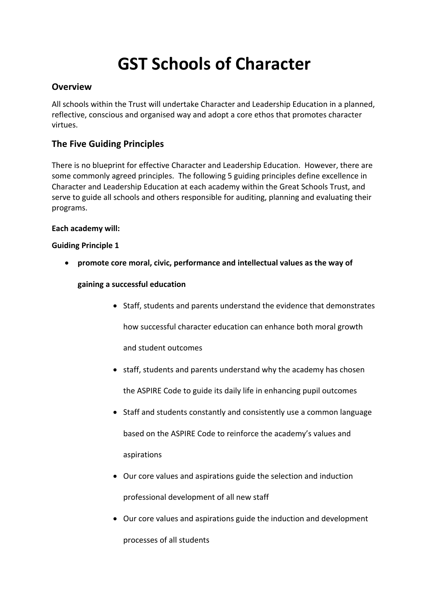# **GST Schools of Character**

## **Overview**

All schools within the Trust will undertake Character and Leadership Education in a planned, reflective, conscious and organised way and adopt a core ethos that promotes character virtues. 

# **The Five Guiding Principles**

There is no blueprint for effective Character and Leadership Education. However, there are some commonly agreed principles. The following 5 guiding principles define excellence in Character and Leadership Education at each academy within the Great Schools Trust, and serve to guide all schools and others responsible for auditing, planning and evaluating their programs. 

#### **Each academy will:**

#### **Guiding Principle 1**

• promote core moral, civic, performance and intellectual values as the way of

#### **gaining a successful education**

• Staff, students and parents understand the evidence that demonstrates

how successful character education can enhance both moral growth

and student outcomes

- staff, students and parents understand why the academy has chosen the ASPIRE Code to guide its daily life in enhancing pupil outcomes
- Staff and students constantly and consistently use a common language based on the ASPIRE Code to reinforce the academy's values and aspirations
- Our core values and aspirations guide the selection and induction professional development of all new staff
- Our core values and aspirations guide the induction and development processes of all students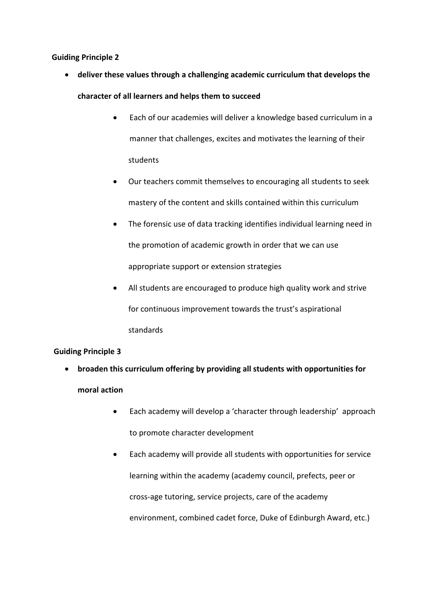#### **Guiding Principle 2**

- deliver these values through a challenging academic curriculum that develops the character of all learners and helps them to succeed
	- Each of our academies will deliver a knowledge based curriculum in a manner that challenges, excites and motivates the learning of their students
	- Our teachers commit themselves to encouraging all students to seek mastery of the content and skills contained within this curriculum
	- The forensic use of data tracking identifies individual learning need in the promotion of academic growth in order that we can use appropriate support or extension strategies
	- All students are encouraged to produce high quality work and strive for continuous improvement towards the trust's aspirational standards

## **Guiding Principle 3**

- broaden this curriculum offering by providing all students with opportunities for **moral action**
	- Each academy will develop a 'character through leadership' approach to promote character development
	- Each academy will provide all students with opportunities for service learning within the academy (academy council, prefects, peer or cross-age tutoring, service projects, care of the academy environment, combined cadet force, Duke of Edinburgh Award, etc.)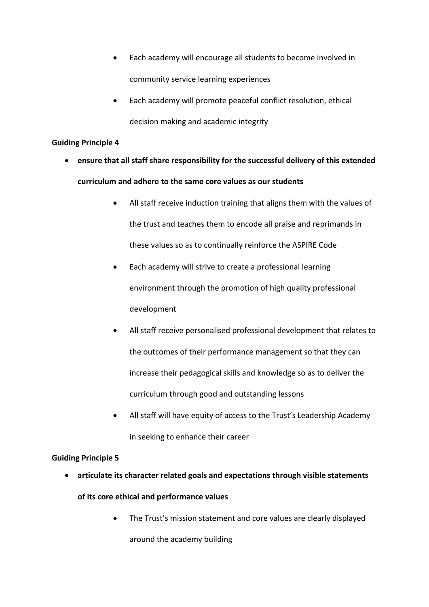- Each academy will encourage all students to become involved in community service learning experiences
- Each academy will promote peaceful conflict resolution, ethical decision making and academic integrity

#### **Guiding Principle 4**

- ensure that all staff share responsibility for the successful delivery of this extended **curriculum and adhere to the same core values as our students**
	- All staff receive induction training that aligns them with the values of the trust and teaches them to encode all praise and reprimands in these values so as to continually reinforce the ASPIRE Code
	- Each academy will strive to create a professional learning environment through the promotion of high quality professional development
	- All staff receive personalised professional development that relates to the outcomes of their performance management so that they can increase their pedagogical skills and knowledge so as to deliver the curriculum through good and outstanding lessons
	- All staff will have equity of access to the Trust's Leadership Academy in seeking to enhance their career

## **Guiding Principle 5**

- articulate its character related goals and expectations through visible statements
	- of its core ethical and performance values
		- The Trust's mission statement and core values are clearly displayed around the academy building